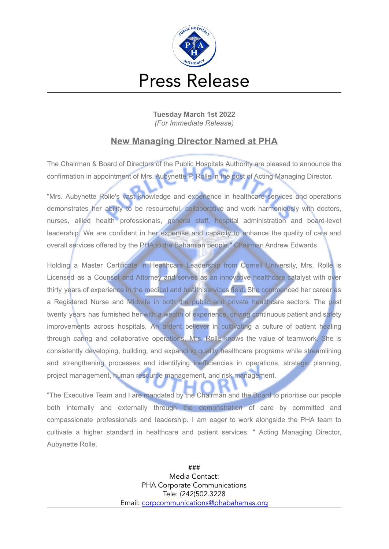

**Tuesday March 1st 2022** *(For Immediate Release)*

## **New Managing Director Named at PHA**

The Chairman & Board of Directors of the Public Hospitals Authority are pleased to announce the confirmation in appointment of Mrs. Aubynette P. Rolle in the post of Acting Managing Director.

"Mrs. Aubynette Rolle's vast knowledge and experience in healthcare services and operations demonstrates her ability to be resourceful, collaborative and work harmoniously with doctors, nurses, allied health professionals, general staff, hospital administration and board-level leadership. We are confident in her expertise and capacity to enhance the quality of care and overall services offered by the PHA to the Bahamian people," Chairman Andrew Edwards.

Holding a Master Certificate in Healthcare Leadership from Cornell University, Mrs. Rolle is Licensed as a Counsel and Attorney and serves as an innovative healthcare catalyst with over thirty years of experience in the medical and health services field. She commenced her career as a Registered Nurse and Midwife in both the public and private healthcare sectors. The past twenty years has furnished her with a wealth of experience, driving continuous patient and safety improvements across hospitals. An ardent believer in cultivating a culture of patient healing through caring and collaborative operations, Mrs. Rolle knows the value of teamwork. She is consistently developing, building, and expanding quality healthcare programs while streamlining and strengthening processes and identifying inefficiencies in operations, strategic planning, project management, human resource management, and risk management.

"The Executive Team and I are mandated by the Chairman and the Board to prioritise our people both internally and externally through the demonstration of care by committed and compassionate professionals and leadership. I am eager to work alongside the PHA team to cultivate a higher standard in healthcare and patient services, " Acting Managing Director, Aubynette Rolle.

> ### Media Contact: PHA Corporate Communications Tele: (242)502.3228 Email: [corpcommunications@phabahamas.org](mailto:corpcommunications@phabahamas.org)